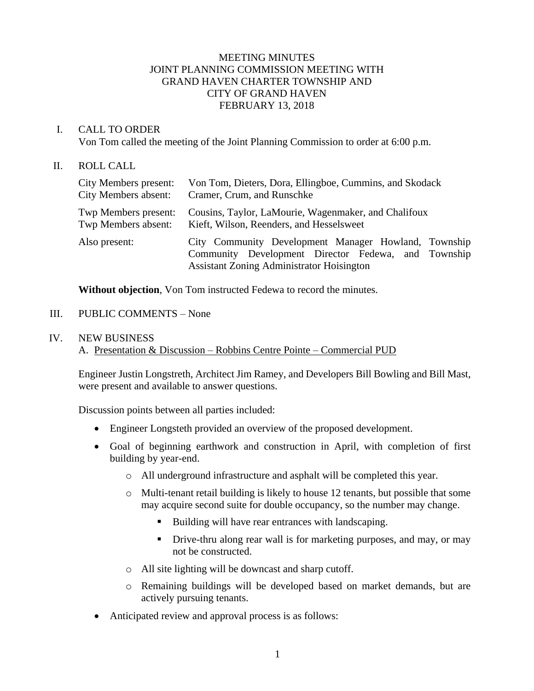## MEETING MINUTES JOINT PLANNING COMMISSION MEETING WITH GRAND HAVEN CHARTER TOWNSHIP AND CITY OF GRAND HAVEN FEBRUARY 13, 2018

## I. CALL TO ORDER

Von Tom called the meeting of the Joint Planning Commission to order at 6:00 p.m.

### II. ROLL CALL

| City Members present:       | Von Tom, Dieters, Dora, Ellingboe, Cummins, and Skodack                                                                                                         |
|-----------------------------|-----------------------------------------------------------------------------------------------------------------------------------------------------------------|
| <b>City Members absent:</b> | Cramer, Crum, and Runschke                                                                                                                                      |
| Twp Members present:        | Cousins, Taylor, LaMourie, Wagenmaker, and Chalifoux                                                                                                            |
| Twp Members absent:         | Kieft, Wilson, Reenders, and Hesselsweet                                                                                                                        |
| Also present:               | City Community Development Manager Howland, Township<br>Community Development Director Fedewa, and Township<br><b>Assistant Zoning Administrator Hoisington</b> |

**Without objection**, Von Tom instructed Fedewa to record the minutes.

### III. PUBLIC COMMENTS – None

#### IV. NEW BUSINESS

A. Presentation & Discussion – Robbins Centre Pointe – Commercial PUD

Engineer Justin Longstreth, Architect Jim Ramey, and Developers Bill Bowling and Bill Mast, were present and available to answer questions.

Discussion points between all parties included:

- Engineer Longsteth provided an overview of the proposed development.
- Goal of beginning earthwork and construction in April, with completion of first building by year-end.
	- o All underground infrastructure and asphalt will be completed this year.
	- $\circ$  Multi-tenant retail building is likely to house 12 tenants, but possible that some may acquire second suite for double occupancy, so the number may change.
		- Building will have rear entrances with landscaping.
		- **•** Drive-thru along rear wall is for marketing purposes, and may, or may not be constructed.
	- o All site lighting will be downcast and sharp cutoff.
	- o Remaining buildings will be developed based on market demands, but are actively pursuing tenants.
- Anticipated review and approval process is as follows: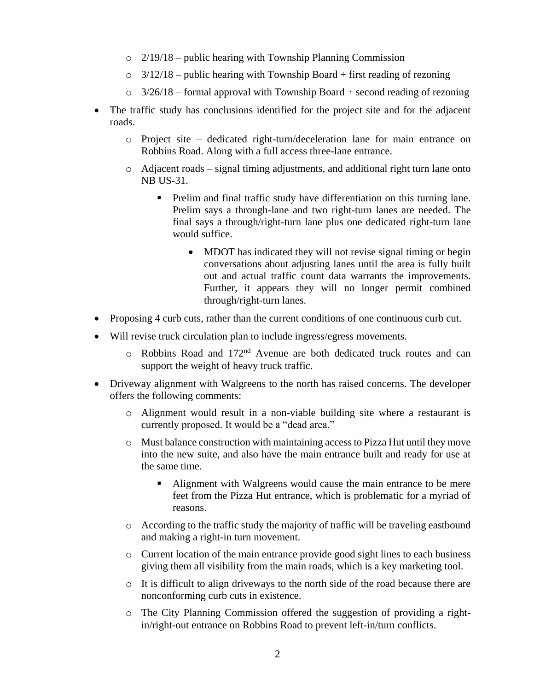- o 2/19/18 public hearing with Township Planning Commission
- $\circ$  3/12/18 public hearing with Township Board + first reading of rezoning
- $\circ$  3/26/18 formal approval with Township Board + second reading of rezoning
- The traffic study has conclusions identified for the project site and for the adjacent roads.
	- o Project site dedicated right-turn/deceleration lane for main entrance on Robbins Road. Along with a full access three-lane entrance.
	- o Adjacent roads signal timing adjustments, and additional right turn lane onto NB US-31.
		- Prelim and final traffic study have differentiation on this turning lane. Prelim says a through-lane and two right-turn lanes are needed. The final says a through/right-turn lane plus one dedicated right-turn lane would suffice.
			- MDOT has indicated they will not revise signal timing or begin conversations about adjusting lanes until the area is fully built out and actual traffic count data warrants the improvements. Further, it appears they will no longer permit combined through/right-turn lanes.
- Proposing 4 curb cuts, rather than the current conditions of one continuous curb cut.
- Will revise truck circulation plan to include ingress/egress movements.
	- o Robbins Road and 172nd Avenue are both dedicated truck routes and can support the weight of heavy truck traffic.
- Driveway alignment with Walgreens to the north has raised concerns. The developer offers the following comments:
	- o Alignment would result in a non-viable building site where a restaurant is currently proposed. It would be a "dead area."
	- o Must balance construction with maintaining access to Pizza Hut until they move into the new suite, and also have the main entrance built and ready for use at the same time.
		- Alignment with Walgreens would cause the main entrance to be mere feet from the Pizza Hut entrance, which is problematic for a myriad of reasons.
	- o According to the traffic study the majority of traffic will be traveling eastbound and making a right-in turn movement.
	- $\circ$  Current location of the main entrance provide good sight lines to each business giving them all visibility from the main roads, which is a key marketing tool.
	- o It is difficult to align driveways to the north side of the road because there are nonconforming curb cuts in existence.
	- o The City Planning Commission offered the suggestion of providing a rightin/right-out entrance on Robbins Road to prevent left-in/turn conflicts.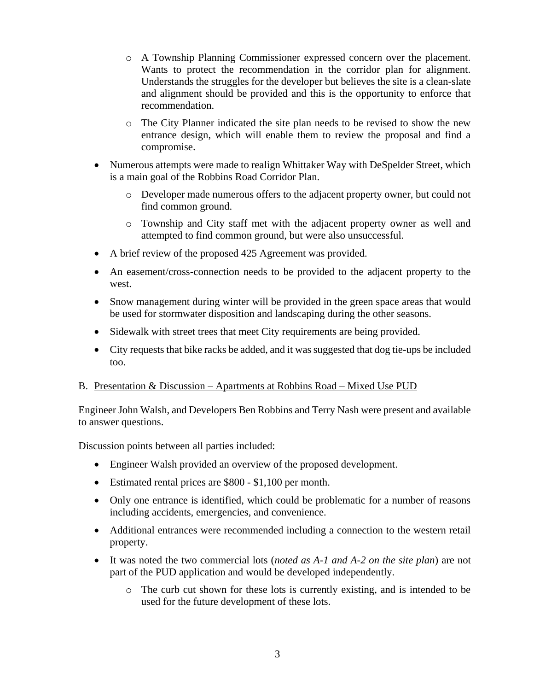- o A Township Planning Commissioner expressed concern over the placement. Wants to protect the recommendation in the corridor plan for alignment. Understands the struggles for the developer but believes the site is a clean-slate and alignment should be provided and this is the opportunity to enforce that recommendation.
- o The City Planner indicated the site plan needs to be revised to show the new entrance design, which will enable them to review the proposal and find a compromise.
- Numerous attempts were made to realign Whittaker Way with DeSpelder Street, which is a main goal of the Robbins Road Corridor Plan.
	- o Developer made numerous offers to the adjacent property owner, but could not find common ground.
	- o Township and City staff met with the adjacent property owner as well and attempted to find common ground, but were also unsuccessful.
- A brief review of the proposed 425 Agreement was provided.
- An easement/cross-connection needs to be provided to the adjacent property to the west.
- Snow management during winter will be provided in the green space areas that would be used for stormwater disposition and landscaping during the other seasons.
- Sidewalk with street trees that meet City requirements are being provided.
- City requests that bike racks be added, and it was suggested that dog tie-ups be included too.

# B. Presentation & Discussion – Apartments at Robbins Road – Mixed Use PUD

Engineer John Walsh, and Developers Ben Robbins and Terry Nash were present and available to answer questions.

Discussion points between all parties included:

- Engineer Walsh provided an overview of the proposed development.
- Estimated rental prices are \$800 \$1,100 per month.
- Only one entrance is identified, which could be problematic for a number of reasons including accidents, emergencies, and convenience.
- Additional entrances were recommended including a connection to the western retail property.
- It was noted the two commercial lots (*noted as A-1 and A-2 on the site plan*) are not part of the PUD application and would be developed independently.
	- o The curb cut shown for these lots is currently existing, and is intended to be used for the future development of these lots.